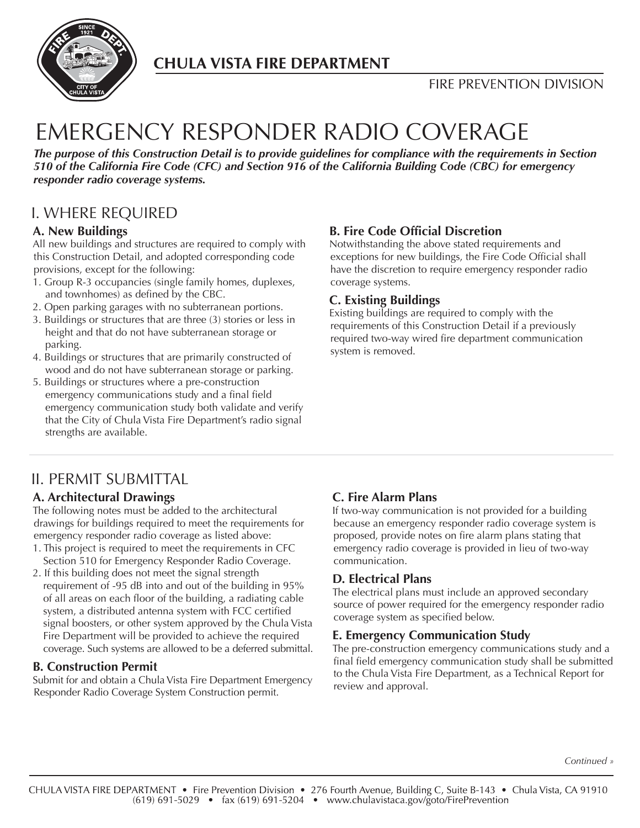

# **CHULA VISTA FIRE DEPARTMENT**

# **FIRE PREVENTION DIVISION**

# EMERGENCY RESPONDER RADIO COVERAGE

*The purpose of this Construction Detail is to provide guidelines for compliance with the requirements in Section 510 of the California Fire Code (CFC) and Section 916 of the California Building Code (CBC) for emergency responder radio coverage systems.*

# I. WHERE REQUIRED

#### **A. New Buildings**

All new buildings and structures are required to comply with this Construction Detail, and adopted corresponding code provisions, except for the following:

- 1. Group R-3 occupancies (single family homes, duplexes, and townhomes) as defined by the CBC.
- 2. Open parking garages with no subterranean portions.
- 3. Buildings or structures that are three (3) stories or less in height and that do not have subterranean storage or parking.
- 4. Buildings or structures that are primarily constructed of wood and do not have subterranean storage or parking.
- 5. Buildings or structures where a pre-construction emergency communications study and a final field emergency communication study both validate and verify that the City of Chula Vista Fire Department's radio signal strengths are available.

## **B. Fire Code Official Discretion**

Notwithstanding the above stated requirements and exceptions for new buildings, the Fire Code Official shall have the discretion to require emergency responder radio coverage systems.

## **C. Existing Buildings**

Existing buildings are required to comply with the requirements of this Construction Detail if a previously required two-way wired fire department communication system is removed.

# II. PERMIT SUBMITTAL

## **A. Architectural Drawings**

The following notes must be added to the architectural drawings for buildings required to meet the requirements for emergency responder radio coverage as listed above:

- 1. This project is required to meet the requirements in CFC Section 510 for Emergency Responder Radio Coverage.
- 2. If this building does not meet the signal strength requirement of -95 dB into and out of the building in 95% of all areas on each floor of the building, a radiating cable system, a distributed antenna system with FCC certified signal boosters, or other system approved by the Chula Vista Fire Department will be provided to achieve the required coverage. Such systems are allowed to be a deferred submittal.

## **B. Construction Permit**

Submit for and obtain a Chula Vista Fire Department Emergency Responder Radio Coverage System Construction permit.

## **C. Fire Alarm Plans**

If two-way communication is not provided for a building because an emergency responder radio coverage system is proposed, provide notes on fire alarm plans stating that emergency radio coverage is provided in lieu of two-way communication.

## **D. Electrical Plans**

The electrical plans must include an approved secondary source of power required for the emergency responder radio coverage system as specified below.

## **E. Emergency Communication Study**

The pre-construction emergency communications study and a final field emergency communication study shall be submitted to the Chula Vista Fire Department, as a Technical Report for review and approval.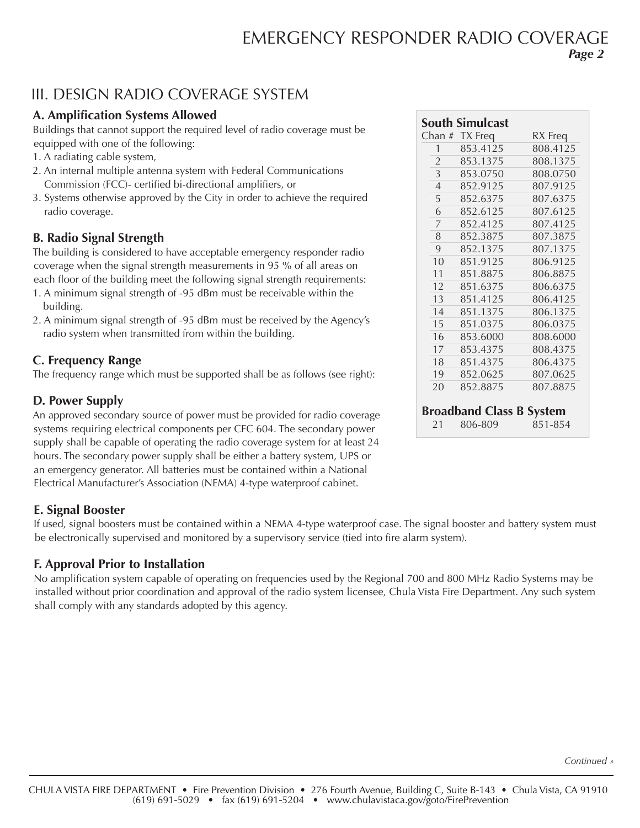# EMERGENCY RESPONDER RADIO COVERAGE *Page 2*

# III. DESIGN RADIO COVERAGE SYSTEM

## **A. Amplification Systems Allowed**

Buildings that cannot support the required level of radio coverage must be equipped with one of the following:

- 1. A radiating cable system,
- 2. An internal multiple antenna system with Federal Communications Commission (FCC)- certified bi-directional amplifiers, or
- 3. Systems otherwise approved by the City in order to achieve the required radio coverage.

## **B. Radio Signal Strength**

The building is considered to have acceptable emergency responder radio coverage when the signal strength measurements in 95 % of all areas on each floor of the building meet the following signal strength requirements:

- 1. A minimum signal strength of -95 dBm must be receivable within the building.
- 2. A minimum signal strength of -95 dBm must be received by the Agency's radio system when transmitted from within the building.

## **C. Frequency Range**

The frequency range which must be supported shall be as follows (see right):

## **D. Power Supply**

An approved secondary source of power must be provided for radio coverage systems requiring electrical components per CFC 604. The secondary power supply shall be capable of operating the radio coverage system for at least 24 hours. The secondary power supply shall be either a battery system, UPS or an emergency generator. All batteries must be contained within a National Electrical Manufacturer's Association (NEMA) 4-type waterproof cabinet.

# **E. Signal Booster**

If used, signal boosters must be contained within a NEMA 4-type waterproof case. The signal booster and battery system must be electronically supervised and monitored by a supervisory service (tied into fire alarm system).

## **F. Approval Prior to Installation**

No amplification system capable of operating on frequencies used by the Regional 700 and 800 MHz Radio Systems may be installed without prior coordination and approval of the radio system licensee, Chula Vista Fire Department. Any such system shall comply with any standards adopted by this agency.

|                | <b>South Simulcast</b>          |          |
|----------------|---------------------------------|----------|
|                | Chan # TX Freq                  | RX Freq  |
| 1              | 853.4125                        | 808.4125 |
| $\overline{2}$ | 853.1375                        | 808.1375 |
| 3              | 853.0750                        | 808.0750 |
| $\overline{4}$ | 852.9125                        | 807.9125 |
| 5              | 852.6375                        | 807.6375 |
| 6              | 852.6125                        | 807.6125 |
| 7              | 852.4125                        | 807.4125 |
| 8              | 852.3875                        | 807.3875 |
| 9              | 852.1375                        | 807.1375 |
| 10             | 851.9125                        | 806.9125 |
| 11             | 851.8875                        | 806.8875 |
| 12             | 851.6375                        | 806.6375 |
| 13             | 851.4125                        | 806.4125 |
| 14             | 851.1375                        | 806.1375 |
| 15             | 851.0375                        | 806.0375 |
| 16             | 853.6000                        | 808.6000 |
| 17             | 853.4375                        | 808.4375 |
| 18             | 851.4375                        | 806.4375 |
| 19             | 852.0625                        | 807.0625 |
| 20             | 852.8875                        | 807.8875 |
|                | <b>Broadband Class B System</b> |          |
| 21             | 806-809                         | 851-854  |